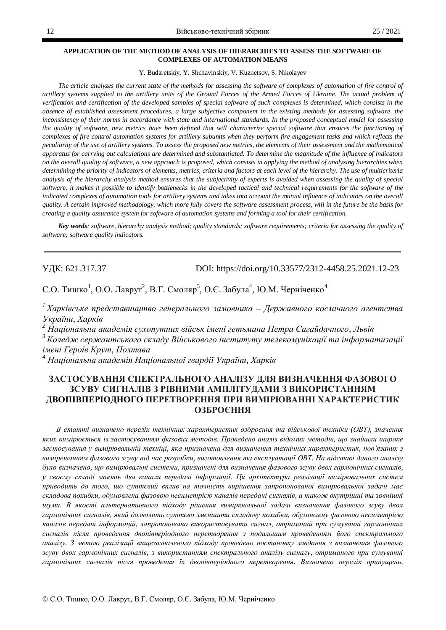#### **APPLICATION OF THE METHOD OF ANALYSIS OF HIERARCHIES TO ASSESS THE SOFTWARE OF COMPLEXES OF AUTOMATION MEANS**

Y. Budaretskiy, Y. Shchavinskiy, V. Kuznetsov, S. Nikolayev

The article analyzes the current state of the methods for assessing the software of complexes of automation of fire control of *artillery systems supplied to the artillery units of the Ground Forces of the Armed Forces of Ukraine. The actual problem of verification and certification of the developed samples of special software of such complexes is determined, which consists in the absence of established assessment procedures, a large subjective component in the existing methods for assessing software, the inconsistency of their norms in accordance with state and international standards. In the proposed conceptual model for assessing the quality of software, new metrics have been defined that will characterize special software that ensures the functioning of complexes of fire control automation systems for artillery subunits when they perform fire engagement tasks and which reflects the peculiarity of the use of artillery systems. To assess the proposed new metrics, the elements of their assessment and the mathematical apparatus for carrying out calculations are determined and substantiated. To determine the magnitude of the influence of indicators on the overall quality of software, a new approach is proposed, which consists in applying the method of analyzing hierarchies when determining the priority of indicators of elements, metrics, criteria and factors at each level of the hierarchy. The use of multicriteria analysis of the hierarchy analysis method ensures that the subjectivity of experts is avoided when assessing the quality of special software, it makes it possible to identify bottlenecks in the developed tactical and technical requirements for the software of the indicated complexes of automation tools for artillery systems and takes into account the mutual influence of indicators on the overall quality. A certain improved methodology, which more fully covers the software assessment process, will in the future be the basis for creating a quality assurance system for software of automation systems and forming a tool for their certification.* 

*Key words: software, hierarchy analysis method; quality standards; software requirements; criteria for assessing the quality of software; software quality indicators.* 

ɍȾɄ: 621.317.37 DOI: https://doi.org/10.33577/2312-4458.25.2021.12-23

С.О. Тишко<sup>1</sup>, О.О. Лаврут<sup>2</sup>, В.Г. Смоляр<sup>3</sup>, О.Є. Забула<sup>4</sup>, Ю.М. Черніченко<sup>4</sup>

<sup>1</sup> Харківське представництво генерального замовника – Державного космічного агентства *<u>Vкраїни, Харків</u>* 

*2* Національна академія сухопутних військ імені гетьмана Петра Сагайдачного, Львів

<sup>3.</sup>Коледж сержантського складу Військового інституту телекомунікації та інформатизації  $i$ мені Героїв Крут, Полтава

<sup>4</sup> Національна академія Національної гвардії України, Харків

# ЗАСТОСУВАННЯ СПЕКТРАЛЬНОГО АНАЛІЗУ ДЛЯ ВИЗНАЧЕННЯ ФАЗОВОГО ЗСУВУ СИГНАЛІВ З РІВНИМИ АМПЛІТУДАМИ З ВИКОРИСТАННЯМ ДВОПІВПЕРІОДНОГО ПЕРЕТВОРЕННЯ ПРИ ВИМІРЮВАННІ ХАРАКТЕРИСТИК ОЗБРОЄННЯ

 $B$  статті визначено перелік технічних характеристик озброєння та військової техніки (ОВТ), значення  $x$ ких вимірюється із застосуванням фазових методів. Проведено аналіз відомих методів, що знайшли широке застосування у вимірювальній техніці, яка призначена для визначення технічних характеристик, пов'язаних з вимірюванням фазового зсуву під час розробки, виготовлення та експлуатації ОВТ. На підставі даного аналізу було визначено, що вимірювальні системи, призначені для визначення фазового зсуву двох гармонічних сигналів, у своєму складі мають два канали передачі інформації. Ця архітектура реалізації вимірювальних систем приводить до того, що суттєвий вплив на точність вирішення запропонованої вимірювальної задачі має складова похибки, обумовлена фазовою несиметрією каналів передачі сигналів, а також внутрішні та зовнішні шуми. В якості альтернативного підходу рішення вимірювальної задачі визначення фазового зсуву двох гармонічних сигналів, який дозволить суттєво зменшити складову похибки, обумовлену фазовою несиметрією каналів передачі інформацій, запропоновано використовувати сигнал, отриманий при сумуванні гармонічних сигналів після проведення двопівперіодного перетворення з подальшим проведенням його спектрального аналізу. З метою реалізації вищезазначеного підходу проведено постановку завдання з визначення фазового  $3c$ vey двох гармонічних сигналів, з використанням спектрального аналізу сигналу, отриманого при сумуванні zармонічних сигналів після проведення їх двопівперіодного перетворення. Визначено перелік припущень,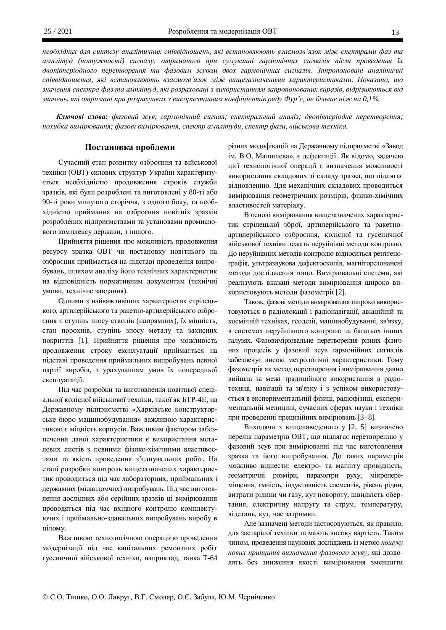необхідних для синтезу аналітичних співвідношень, які встановлюють взаємозв'язок між спектрами фаз та *ɚɦɩɥɿɬɭɞ (ɩɨɬɭɠɧɨɫɬɿ) ɫɢɝɧɚɥɭ, ɨɬɪɢɦɚɧɨɝɨ ɩɪɢ ɫɭɦɭɜɚɧɧɿ ɝɚɪɦɨɧɿɱɧɢɯ ɫɢɝɧɚɥɿɜ ɩɿɫɥɹ ɩɪɨɜɟɞɟɧɧɹ ʀɯ* двопівперіодного перетворення та фазовим зсувом двох гармонічних сигналів. Запропоновані аналітичні співвідношення, які встановлюють взаємозв'язок між вищезазначеними характеристиками. Показано, що значення спектра фаз та амплітуд, які розраховані з використанням запропонованих виразів, відрізняються від *ɡɧɚɱɟɧɶ, ɹɤɿɨɬɪɢɦɚɧɿɩɪɢɪɨɡɪɚɯɭɧɤɚɯɡɜɢɤɨɪɢɫɬɚɧɧɹɦɤɨɟɮɿɰɿɽɧɬɿɜɪɹɞɭɎɭɪ¶ɽ, ɧɟɛɿɥɶɲɟɧɿɠɧɚ 0,1%.* 

Ключові слова: фазовий зсув, гармонічний сигнал; спектральний аналіз; двопівперіодне перетворення; похибка вимірювання; фазові вимірювання, спектр амплітуди, спектр фази, військова техніка.

# Постановка проблеми

Сучасний етап розвитку озброєння та військової техніки (ОВТ) силових структур України характеризується необхідністю продовження строків служби зразків, які були розроблені та виготовлені у 80-ті або 90-ті роки минулого сторіччя, з одного боку, та необхідністю приймання на озброєння новітніх зразків розроблених підприємствами та установами промислового комплексу держави, з іншого.

Прийняття рішення про можливість продовження ресурсу зразка ОВТ чи постановку новітнього на озброєння приймається на підставі проведення випробувань, шляхом аналізу його технічних характеристик на відповідність нормативним документам (технічні умови, технічне завдання).

Одними з найважливіших характеристик стрілецького, артилерійського та ракетно-артилерійського озброєння є ступінь зносу стволів (напрямних), їх міцність, стан порохнів, ступінь зносу металу та захисних покриттів [1]. Прийняття рішення про можливість продовження строку експлуатації приймається на підставі проведення приймальних випробувань певної партії виробів, з урахуванням умов їх попередньої експлуатації.

Під час розробки та виготовлення новітньої спеціальної колісної військової техніки, такої як БТР-4Е, на Державному підприємстві «Харківське конструкторське бюро машинобудування» важливою характеристикою є міцність корпусів. Важливим фактором забезпечення даної характеристики є використання металевих листів з певними фізико-хімічними властивостями та якість проведення з'єднувальних робіт. На етапі розробки контроль вищезазначених характеристик проводиться під час лабораторних, приймальних і державних (міжвідомчих) випробувань. Під час виготовлення дослідних або серійних зразків ці вимірювання проводяться під час вхідного контролю комплектуючих і приймально-здавальних випробувань виробу в цілому.

Важливою технологічною операцією проведення модернізації під час капітальних ремонтних робіт гусеничної військової техніки, наприклад, танка Т-64 різних модифікацій на Державному підприємстві «Завод ім. В.О. Малишева», є дефектації. Як відомо, задачею цієї технологічної операції є визначення можливості використання складових зі складу зразка, що підлягає відновленню. Для механічних складових проводиться вимірювання геометричних розмірів, фізико-хімічних властивостей матеріалу.

В основі вимірювання вищезазначених характеристик стрілецької зброї, артилерійського та ракетноартилерійського озброєння, колісної та гусеничної військової техніки лежать неруйнівні методи контролю. До неруйнівних методів контролю відноситься рентгенографія, ультразвукова дефектоскопія, магніторезонансні методи дослідження тощо. Вимірювальні системи, які реалізують вказані методи вимірювання широко використовують методи фазометрії [2].

Також, фазові методи вимірювання широко використовуються в радіолокації і радіонавігації, авіаційній та космічній техніках, геодезії, машинобудуванні, зв'язку, в системах неруйнівного контролю та багатьох інших галузях. Фазовимірювальне перетворення різних фізичних процесів у фазовий зсув гармонійних сигналів забезпечує високі метрологічні характеристики. Тому фазометрія як метод перетворення і вимірювання давно вийшла за межі традиційного використання в радіотехніці, навігації та зв'язку і з успіхом використовується в експериментальній фізиці, радіофізиці, експериментальній медицині, сучасних сферах науки і техніки при проведенні прецизійних вимірювань [3-8].

Виходячи з вищенаведеного у [2, 5] визначено перелік параметрів ОВТ, що підлягає перетворенню у фазовий зсув при вимірюванні під час виготовлення зразка та його випробування. До таких параметрів можливо віднести: електро- та магніту провідність, геометричні розміри, параметри руху, мікропереміщення, ємність, індуктивність елементів, рівень рідин, витрати рідини чи газу, кут повороту, швидкість обертання, електричну напругу та струм, температуру, відстань, кут, час затримки.

Але зазначені методи застосовуються, як правило, для застарілої техніки та мають високу вартість. Таким чином, проведення наукових досліджень із метою пошуку нових принципів визначення фазового зсуву, які дозволять без зниження якості вимірювання зменшити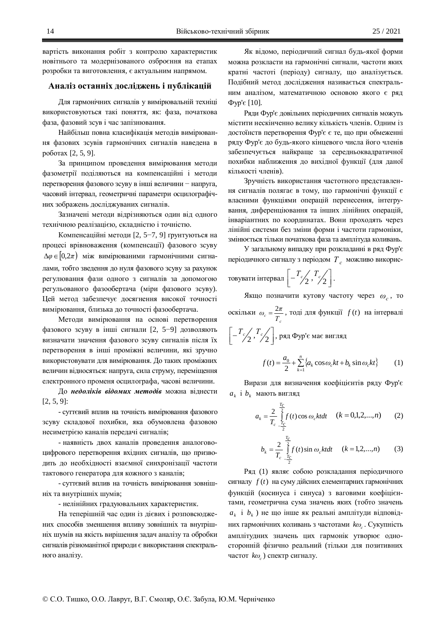вартість виконання робіт з контролю характеристик новітнього та модернізованого озброєння на етапах розробки та виготовлення, є актуальним напрямом.

# Аналіз останніх досліджень і публікацій

Для гармонічних сигналів у вимірювальній техніці використовуються такі поняття, як: фаза, початкова фаза, фазовий зсув і час запізнювання.

Найбільш повна класифікація методів вимірювання фазових зсувів гармонічних сигналів наведена в роботах [2, 5, 9].

За принципом проведення вимірювання методи фазометрії поділяються на компенсаційні і методи перетворення фазового зсуву в інші величини - напруга, часовий інтервал, геометричні параметри осцилографічних зображень досліджуваних сигналів.

Зазначені методи відрізняються один від одного технічною реалізацією, складністю і точністю.

Компенсаційні методи [2, 5–7, 9] грунтуються на процесі врівноваження (компенсації) фазового зсуву  $\Delta \varphi$  ∈  $(0, 2\pi)$  між вимірюваними гармонічними сигналами, тобто зведення до нуля фазового зсуву за рахунок регулювання фази одного з сигналів за допомогою регульованого фазообертача (міри фазового зсуву). Цей метод забезпечує досягнення високої точності вимірювання, близька до точності фазообертача.

Методи вимірювання на основі перетворення фазового зсуву в інші сигнали [2, 5-9] дозволяють визначати значення фазового зсуву сигналів після їх перетворення в інші проміжні величини, які зручно використовувати для вимірювання. До таких проміжних величин відносяться: напруга, сила струму, переміщення електронного променя осцилографа, часові величини.

До недоліків відомих методів можна віднести [2, 5, 9]:

- суттєвий вплив на точність вимірювання фазового зсуву складової похибки, яка обумовлена фазовою несиметрією каналів передачі сигналів;

- наявність двох каналів проведення аналоговоцифрового перетворення вхідних сигналів, що призводить до необхідності взаємної синхронізації частоти тактового генератора для кожного з каналів;

- суттєвий вплив на точність вимірювання зовнішніх та внутрішніх шумів;

- нелінійних градуювальних характеристик.

На теперішній час один із дієвих і розповсюджених способів зменшення впливу зовнішніх та внутрішніх шумів на якість вирішення задач аналізу та обробки сигналів різноманітної природи є використання спектрального аналізу.

Як відомо, періодичний сигнал будь-якої форми можна розкласти на гармонічні сигнали, частоти яких кратні частоті (періоду) сигналу, що аналізується. Подібний метод дослідження називається спектральним аналізом, математичною основою якого є ряд  $\Phi$ yp' $\epsilon$  [10].

Ряди Фур'є довільних періодичних сигналів можуть містити нескінченно велику кількість членів. Одним із достоїнств перетворення Фур'є є те, що при обмеженні ряду Фур'є до будь-якого кінцевого числа його членів забезпечується найкраще за середньоквадратичної похибки наближення до вихілної функції (для даної кількості членів).

Зручність використання частотного представлення сигналів полягає в тому, що гармонічні функції є власними функціями операцій перенесення, інтегрування, диференціювання та інших лінійних операцій, інваріантних по координатах. Вони проходять через лінійні системи без зміни форми і частоти гармоніки, змінюється тільки початкова фаза та амплітуда коливань.

У загальному випадку при розкладанні в ряд Фур'є періодичного сигналу з періодом  $T_c$  можливо викорис-

товувати інтервал 
$$
\left[-\frac{T_c}{2}, \frac{T_c}{2}\right]
$$
.

Якщо позначити кутову частоту через  $\omega_c$ , то оскільки  $\frac{a}{T_c} - \frac{a}{T_c}$  $\omega_c = \frac{2\pi}{\pi}$ , тоді для функції  $f(t)$  на інтервалі  $\overline{\phantom{a}}$ º  $\overline{\mathsf{L}}$  $\left[-\frac{T_c}{2},\frac{T_c}{2}\right]$  $T_c$ /,  $T_c$ /, Dяд Фур'є має вигляд

$$
f(t) = \frac{a_0}{2} + \sum_{k=1}^{n} \{a_k \cos \omega_c kt + b_k \sin \omega_c kt\}
$$
 (1)

Вирази для визначення коефіцієнтів ряду Фур'є  $a_k$  і  $b_k$  мають вигляд

$$
a_k = \frac{2}{T_c} \int_{-\frac{T_c}{2}}^{\frac{T_c}{2}} f(t) \cos \omega_c k t dt \quad (k = 0, 1, 2, ..., n) \tag{2}
$$

$$
b_k = \frac{2}{T_c} \int_{-\frac{T_c}{2}}^{\frac{T_c}{2}} f(t) \sin \omega_c k t dt \quad (k = 1, 2, ..., n) \tag{3}
$$

Ряд (1) являє собою розкладання періодичного сигналу  $f(t)$  на суму дійсних елементарних гармонічних функцій (косинуса і синуса) з ваговими коефіцієнтами, геометрична сума значень яких (тобто значень  $a_k$  і  $b_k$ ) не що інше як реальні амплітуди відповідних гармонічних коливань з частотами  $k\omega_c$ . Сукупність амплітудних значень цих гармонік утворює односторонній фізично реальний (тільки для позитивних *частот k*<sup> $o$ </sup><sub>*c*</sub>) спектр сигналу.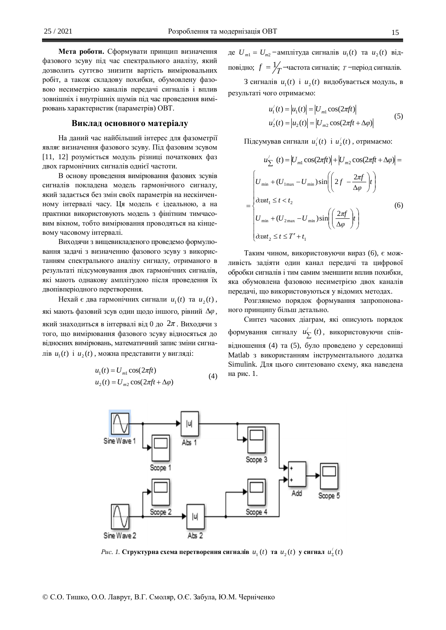Мета роботи. Сформувати принцип визначення фазового зсуву під час спектрального аналізу, який дозволить суттєво знизити вартість вимірювальних робіт, а також складову похибки, обумовлену фазовою несиметрією каналів передачі сигналів і вплив зовнішніх і внутрішніх шумів під час проведення вимірювань характеристик (параметрів) ОВТ.

#### **Виклад основного матеріалу**

На даний час найбільший інтерес для фазометрії являє визначення фазового зсуву. Під фазовим зсувом [11, 12] розуміється модуль різниці початкових фаз двох гармонічних сигналів однієї частоти.

В основу проведення вимірювання фазових зсувів сигналів покладена модель гармонічного сигналу, який задається без змін своїх параметрів на нескінченному інтервалі часу. Ця модель є ідеальною, а на практики використовують модель з фінітним тимчасовим вікном, тобто вимірювання проводяться на кінцевому часовому інтервалі.

Виходячи з вищевикладеного проведемо формулювання задачі з визначенню фазового зсуву з використанням спектрального аналізу сигналу, отриманого в результаті підсумовування двох гармонічних сигналів, які мають однакову амплітудою після проведення їх двопівперіодного перетворення.

Hexай є два гармонічних сигнали  $u_1(t)$  та  $u_2(t)$ , які мають фазовий зсув один щодо іншого, рівний Δφ, який знаходиться в інтервалі від 0 до  $2\pi$ . Виходячи з того, що вимірювання фазового зсуву вілносяться до відносних вимірювань, математичний запис зміни сигналів  $u_1(t)$  і  $u_2(t)$ , можна представити у вигляді:

$$
u_1(t) = U_{m1} \cos(2\pi ft)
$$
  
\n
$$
u_2(t) = U_{m2} \cos(2\pi ft + \Delta\varphi)
$$
\n(4)

де  $U_{m1} = U_{m2}$  – амплітуда сигналів  $u_1(t)$  та  $u_2(t)$  відповідно;  $f = \frac{1}{T}$  -частота сигналів; *т* -період сигналів.

3 сигналів  $u_1(t)$  і  $u_2(t)$  видобувається модуль, в результаті чого отримаємо:

$$
u'_{1}(t) = |u_{1}(t)| = |U_{m1} \cos(2\pi ft)|
$$
  
\n
$$
u'_{2}(t) = |u_{2}(t)| = |U_{m2} \cos(2\pi ft + \Delta \varphi)|
$$
\n(5)

Підсумував сигнали  $u_1'(t)$  i  $u_2'(t)$ , отримаємо:

$$
u'_{\sum} (t) = |U_{m1} \cos(2\pi ft)| + |U_{m2} \cos(2\pi ft + \Delta \varphi)| =
$$
  

$$
= \begin{cases} U_{\min} + (U_{1\max} - U_{\min}) \sin\left(2f - \frac{2\pi f}{\Delta \varphi}\right)t \\ \frac{\partial \pi}{\partial t_1} \le t < t_2 \\ U_{\min} + (U_{2\max} - U_{\min}) \sin\left(\frac{2\pi f}{\Delta \varphi}\right)t \end{cases}
$$
(6)  

$$
U_{\min} + (U_{2\max} - U_{\min}) \sin\left(\frac{2\pi f}{\Delta \varphi}\right)t
$$

Таким чином, використовуючи вираз (6), є можливість задіяти один канал передачі та цифрової обробки сигналів і тим самим зменшити вплив похибки, яка обумовлена фазовою несиметрією двох каналів передачі, що використовуються у відомих методах.

Розглянемо порядок формування запропонованого принципу більш детально.

Синтез часових діаграм, які описують порядок формування сигналу  $u'_{\sum}$  (t), використовуючи співвідношення (4) та (5), було проведено у середовищі Matlab з використанням інструментального додатка Simulink. Для цього синтезовано схему, яка наведена на рис. 1.



 $Puc.$  1. Структурна схема перетворення сигналів  $u_1(t)$  та  $u_2(t)$  у сигнал  $u_2'(t)$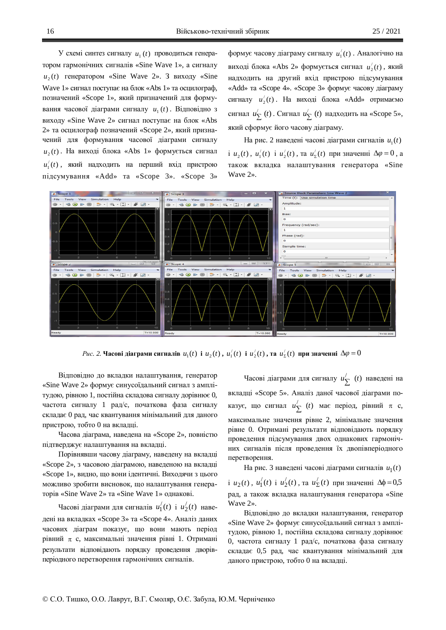У схемі синтез сигналу  $u_1(t)$  проводиться генератором гармонічних сигналів «Sine Wave 1», а сигналу  $u_2(t)$  генератором «Sine Wave 2». З виходу «Sine Wave 1» сигнал поступає на блок «Abs 1» та осцилограф, позначений «Scope 1», який призначений для формування часової діаграми сигналу  $u_1(t)$ . Відповідно з виходу «Sine Wave 2» сигнал поступає на блок «Abs 2» та осцилограф позначений «Scope 2», який призначений для формування часової діаграми сигналу  $u_2(t)$ . На виході блока «Abs 1» формується сигнал  $u_1'(t)$ , який надходить на перший вхід пристрою підсумування «Add» та «Scope 3». «Scope 3»

формує часову діаграму сигналу  $u_1'(t)$ . Аналогічно на виході блока «Abs 2» формується сигнал  $u_2'(t)$ , який надходить на другий вхід пристрою підсумування «Add» та «Scope 4». «Scope 3» формує часову діаграму сигналу  $u_2'(t)$ . На виході блока «Add» отримаємо сигнал  $u'_{\Sigma}(t)$ . Сигнал  $u'_{\Sigma}(t)$  надходить на «Scope 5», який сформує його часову діаграму.

На рис. 2 наведені часові діаграми сигналів  $u_1(t)$  $i \mu_2(t), \mu'_1(t) \, i \mu'_2(t), \, \text{rad } \mu'_2(t) \, \text{ppu} \, \text{shav}$ енні  $\Delta \varphi = 0$ , а також вкладка налаштування генератора «Sine Wave 2».



 $Puc.$  2. Часові діаграми сигналів  $u_1(t)$  і  $u_2(t)$  ,  $u_1'(t)$  і  $u_2'(t)$  , та  $u_2'(t)$  при значенні  $\Delta \! \varphi$   $=$   $\! 0$ 

Відповідно до вкладки налаштування, генератор «Sine Wave 2» формує синусоїдальний сигнал з амплітудою, рівною 1, постійна складова сигналу дорівнює 0, частота сигналу 1 рад/с, початкова фаза сигналу складає 0 рад, час квантування мінімальний для даного пристрою, тобто 0 на вкладці.

Часова діаграма, наведена на «Scope 2», повністю підтверджує налаштування на вкладці.

Порівнявши часову діаграму, наведену на вкладці «Scope 2», з часовою діаграмою, наведеною на вкладці «Scope 1», видно, що вони ідентичні. Виходячи з цього можливо зробити висновок, що налаштування генераторів «Sine Wave 2» та «Sine Wave 1» однакові.

Часові діаграми для сигналів  $u'_1(t)$  і  $u'_2(t)$  наведені на вкладках «Scope 3» та «Scope 4». Аналіз даних часових діаграм показує, що вони мають період рівний  $\pi$  с, максимальні значення рівні 1. Отримані результати відповідають порядку проведення дворівперіодного перетворення гармонічних сигналів.

Часові діаграми для сигналу  $u'_{\sum}$  (*t*) наведені на вкладці «Scope 5». Аналіз даної часової діаграми показує, що сигнал  $u'_{\sum}$  (*t*) має період, рівний  $\pi$  с, максимальне значення рівне 2, мінімальне значення рівне 0. Отримані результати відповідають порядку проведення підсумування двох однакових гармонічних сигналів після проведення їх двопівперіодного перетворення.

На рис. 3 наведені часові діаграми сигналів  $u_1(t)$  $i \mu_2(t), \mu'_1(t)$  i  $\mu'_2(t), \text{ та } \mu'_2(t)$  при значенні  $\Delta\phi = 0.5$ рад, а також вкладка налаштування генератора «Sine Wave 2».

Відповідно до вкладки налаштування, генератор «Sine Wave 2» формує синусоїдальний сигнал з амплітудою, рівною 1, постійна складова сигналу дорівнює 0, частота сигналу 1 рад/с, початкова фаза сигналу складає 0,5 рад, час квантування мінімальний для даного пристрою, тобто 0 на вкладці.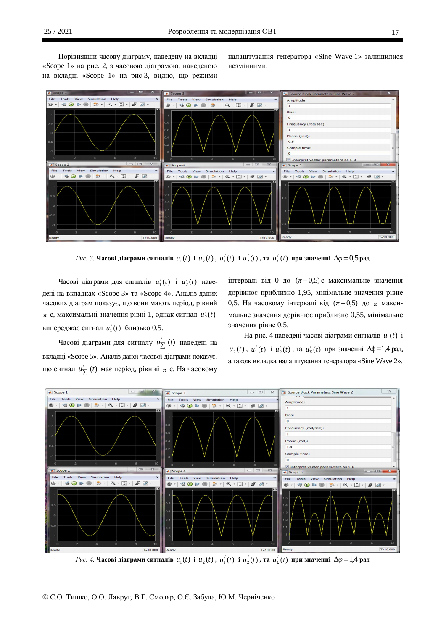Порівнявши часову діаграму, наведену на вкладці «Scope 1» на рис. 2, з часовою діаграмою, наведеною на вкладці «Scope 1» на рис.3, видно, що режими налаштування генератора «Sine Wave 1» залишилися незмінними



 $Puc$ . 3. Часові діаграми сигналів  $u_1(t)$  і  $u_2(t)$  ,  $u_1'(t)$  і  $u_2'(t)$  , та  $u_2'(t)$  при значенні  $\Delta \! \varphi \! = \! 0, \! 5$ рад

Часові діаграми для сигналів  $u_1'(t)$  і  $u_2'(t)$  наведені на вкладках «Scope 3» та «Scope 4». Аналіз даних часових діаграм показує, що вони мають період, рівний  $\pi$  с, максимальні значення рівні 1, однак сигнал  $u_2'(t)$ випереджає сигнал  $u_1'(t)$  близько 0,5.

Часові діаграми для сигналу  $u'_{\sum}$  (t) наведені на вкладці «Scope 5». Аналіз даної часової діаграми показує, що сигнал  $u'_{\sum}$  (*t*) має період, рівний  $\pi$  с. На часовому

iнтервалi вiд 0 до  $(\pi - 0.5)$  с максимальне значення дорівнює приблизно 1,95, мінімальне значення рівне 0,5. На часовому інтервалі від  $(π-0,5)$  до  $π$  максимальне значення дорівнює приблизно 0,55, мінімальне значення рівне 0,5.

На рис. 4 наведені часові діаграми сигналів  $u_1(t)$  і  $u_2(t)$ ,  $u_1'(t)$  i  $u_2'(t)$ ,  $\pi a$   $u_2'(t)$  при значенні  $\Delta \phi = 1,4$  рад, а також вкладка налаштування генератора «Sine Wave 2».



 $\mathit{Puc.}$  4. Часові діаграми сигналів  $\mathit{u}_1(t)$  і  $\mathit{u}_2(t)$  ,  $\mathit{u}_1'(t)$  і  $\mathit{u}_2'(t)$  , та  $\mathit{u}_2'(t)$  при значенні  $\Delta \varphi$   $=$   $1\!,$ 4 рад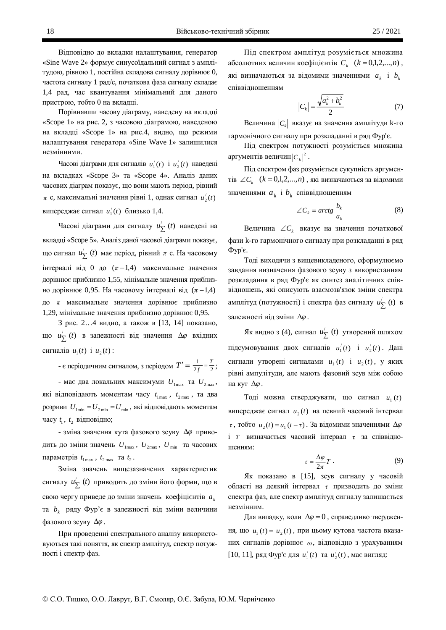Відповідно до вкладки налаштування, генератор «Sine Wave 2» формує синусоїдальний сигнал з амплітудою, рівною 1, постійна складова сигналу дорівнює 0, частота сигналу 1 рад/с, початкова фаза сигналу складає 1,4 рад, час квантування мінімальний для даного пристрою, тобто 0 на вкладці.

Порівнявши часову діаграму, наведену на вкладці «Scope 1» на рис. 2, з часовою діаграмою, наведеною на вкладці «Scope 1» на рис.4, видно, що режими налаштування генератора «Sine Wave 1» залишилися незмінними.

Часові діаграми для сигналів  $u_1'(t)$  і  $u_2'(t)$  наведені на вкладках «Scope 3» та «Scope 4». Аналіз даних часових діаграм показує, що вони мають період, рівний  $\pi$  с, максимальні значення рівні 1, однак сигнал  $u_2'(t)$ випереджає сигнал  $u_1'(t)$  близько 1,4.

Часові діаграми для сигналу  $u'_{\sum}$  (t) наведені на вкладці «Scope 5». Аналіз даної часової діаграми показує, що сигнал  $u'_{\sum}$  (*t*) має період, рівний  $\pi$  с. На часовому iнтервалi вiд 0 до  $(\pi-1,4)$  максимальне значення дорівнює приблизно 1,55, мінімальне значення приблизно дорівнює 0,95. На часовому інтервалі від  $(π - 1,4)$ до *п* максимальне значення дорівнює приблизно 1,29, мінімальне значення приблизно дорівнює 0,95.

3 рис. 2...4 видно, а також в [13, 14] показано, що  $u'_{\sum}$  (*t*) в залежності від значення  $\Delta \varphi$  вхідних curred  $u_1(t)$  i  $u_2(t)$ :

- є періодичним сигналом, з періодом  $T' = \frac{1}{2f} = \frac{T}{2}$  $\frac{1}{f} = \frac{1}{2}$ ;

- має два локальних максимуми  $U_{1\text{max}}$  та  $U_{2\text{max}}$ , які відповідають моментам часу  $t_{1\text{max}}$ ,  $t_{2\text{max}}$ , та два розриви  $U_{1\text{min}} = U_{2\text{min}} = U_{\text{min}}$ , які відповідають моментам часу  $t_1$ ,  $t_2$  відповідно;

- зміна значення кута фазового зсуву  $\Delta\varphi$  приводить до зміни значень  $U_{1\text{max}}$ ,  $U_{2\text{max}}$ ,  $U_{\text{min}}$  та часових параметрів  $t_{1\text{max}}$ ,  $t_{2\text{max}}$  та  $t_2$ .

Зміна значень вищезазначених характеристик сигналу *и*'<sub> $\sum$ </sub> (*t*) приводить до зміни його форми, що в свою чергу приведе до зміни значень коефіцієнтів  $a_k$ та *b*<sub>k</sub> ряду Фур'є в залежності від зміни величини фазового зсуву  $\Delta\varphi$ .

При проведенні спектрального аналізу використовуються такі поняття, як спектр амплітуд, спектр потужності і спектр фаз.

Під спектром амплітуд розуміється множина абсолютних величин коефіцієнтів  $C_k$  ( $k = 0,1,2,...,n$ ), які визначаються за відомими значеннями  $a_k$  і  $b_k$ співвілношенням

$$
|C_k| = \frac{\sqrt{a_k^2 + b_k^2}}{2} \tag{7}
$$

Величина  $|C_k|$  вказує на значення амплітуди k-го гармонічного сигналу при розкладанні в ряд Фур'є.

Під спектром потужності розуміється множина аргументів величин $|C_k|^2$ .

Під спектром фаз розуміється сукупність аргументів  $\angle C_k$  ( $k = 0,1,2,...,n$ ), які визначаються за відомими значеннями  $a_k$  і  $b_k$  співвідношенням

$$
\angle C_k = \arctg \frac{b_k}{a_k} \tag{8}
$$

Bеличина  $\angle C_k$  вказує на значення початкової фази k-го гармонічного сигналу при розкладанні в ряд  $\Phi$ yp' $\epsilon$ .

Тоді виходячи з вищевикладеного, сформулюємо завдання визначення фазового зсуву з використанням розкладання в ряд Фур'є як синтез аналітичних співвідношень, які описують взаємозв'язок зміни спектра амплітуд (потужності) і спектра фаз сигналу  $u'_{\sum}$  (*t*) в залежності від зміни  $\Delta\varphi$ .

Як видно з (4), сигнал  $u'_{\sum}$  (*t*) утворений шляхом підсумовування двох сигналів  $u_1'(t)$  і  $u_2'(t)$ . Дані сигнали утворені сигналами  $u_1(t)$  і  $u_2(t)$ , у яких рівні ампулітуди, але мають фазовий зсув між собою на кут  $\Delta\varphi$ .

Тоді можна стверджувати, що сигнал  $u_1(t)$ випереджає сигнал  $u_2(t)$  на певний часовий інтервал  $\tau$ , тобто  $u_2(t) = u_1(t-\tau)$ . За відомими значеннями  $\Delta\varphi$ і *Т* визначається часовий інтервал т за співвідношенням:

$$
\tau = \frac{\Delta \varphi}{2\pi} T \,. \tag{9}
$$

Як показано в [15], зсув сигналу у часовій області на деякий інтервал τ призводить до зміни спектра фаз, але спектр амплітуд сигналу залишається незмінним.

Для випадку, коли  $\Delta \varphi = 0$ , справедливо твердження, що  $u_1(t) = u_2(t)$ , при цьому кутова частота вказаних сигналів дорівнює  $\omega$ , відповідно з урахуванням  $[10, 11]$ , ряд Фур'є для  $u_1'(t)$  та  $u_2'(t)$ , має вигляд: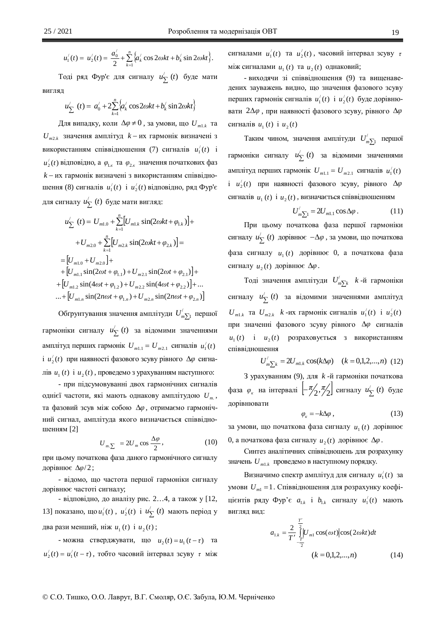$$
u'_1(t) = u'_2(t) = \frac{a'_0}{2} + \sum_{k=1}^n \left\{ a'_k \cos 2\omega kt + b'_k \sin 2\omega kt \right\}.
$$

Тоді ряд Фур'є для сигналу  $u'_{\sum}$  (*t*) буде мати вигнял

$$
u'_{\sum} (t) = a'_0 + 2 \sum_{k=1}^{n} \{a'_k \cos 2\omega kt + b'_k \sin 2\omega kt\}
$$

 $\mu$ ля випадку, коли  $\Delta\varphi\neq0$  , за умови, що  $\boldsymbol{U}_{m1.k}$  та  $U_{m2,k}$  значення амплітуд  $k - \mu x$  гармонік визначені з використанням співвідношення (7) сигналів  $u_1'(t)$  і  $u_2'(t)$  відповідно, а  $\varphi_{{1}_{\mathcal{K}}}$  та  $\varphi_{{2}_{\mathcal{K}}}$  значення початкових фаз *k* – их гармонік визначені з використанням співвідношення (8) сигналів  $u_1'(t)$  і  $u_2'(t)$  відповідно, ряд Фур'є для сигналу  $u'_{\sum}$  (*t*) буде мати вигляд:

$$
u'_{\sum} (t) = U_{m1.0} + \sum_{k=1}^{n} [U_{m1.k} \sin(2\omega kt + \varphi_{1.k})] +
$$
  
+  $U_{m2.0} + \sum_{k=1}^{n} [U_{m2.k} \sin(2\omega kt + \varphi_{2.k})] =$   
=  $[U_{m1.0} + U_{m2.0}] +$   
+  $[U_{m1.1} \sin(2\omega t + \varphi_{1.1}) + U_{m2.1} \sin(2\omega t + \varphi_{2.1})] +$   
+  $[U_{m1.2} \sin(4\omega t + \varphi_{1.2}) + U_{m2.2} \sin(4\omega t + \varphi_{2.2})] + ...$   
...+  $[U_{m1.n} \sin(2n\omega t + \varphi_{1.n}) + U_{m2.n} \sin(2n\omega t + \varphi_{2.n})]$ 

Обґрунтування значення амплітуди $\textit{U}^\prime_{m \sum}$ першої гармоніки сигналу *и*<sup>/</sup><sub>Σ</sub> (*t*) за відомими значеннями амплітуд перших гармонік  $U_{m1.1} = U_{m2.1}$  сигналів  $u_1'(t)$  $i \mu_2'(t)$  при наявності фазового зсуву рівного  $\Delta \varphi$  сигналів  $u_1(t)$  і  $u_2(t)$ , проведемо з урахуванням наступного:

- при підсумовуванні двох гармонічних сигналів однієї частоти, які мають однакову амплітудою  $U_m$ , та фазовий зсув між собою  $\Delta\varphi$ , отримаємо гармонічний сигнал, амплітуда якого визначається співвідношенням [2]

$$
U_{m\sum} = 2U_m \cos \frac{\Delta \varphi}{2}, \qquad (10)
$$

при цьому початкова фаза даного гармонічного сигналу дорівнює  $\Delta\varphi/2$ ;

- відомо, що частота першої гармоніки сигналу дорівнює частоті сигналу;

- відповідно, до аналізу рис. 2…4, а також у [12, 13] показано, що  $u_1'(t)$ ,  $u_2'(t)$  **i**  $u_2'(t)$  мають період у два рази менший, ніж  $u_1(t)$  і  $u_2(t)$ ;

- можна стверджувати, що  $u_2(t) = u_1(t - \tau)$  та  $u'_2(t) = u'_1(t-\tau)$ , тобто часовий інтервал зсуву  $\tau$  між

сигналами  $u_1'(t)$  та  $u_2'(t)$ , часовий інтервал зсуву *т* між сигналами  $u_1(t)$  та  $u_2(t)$  однаковий;

- виходячи зі співвідношення (9) та вищенаведених зауважень видно, що значення фазового зсуву перших гармонік сигналів  $u_1'(t)$  і  $u_2'(t)$  буде дорівнювати 2Δ $\varphi$ , при наявності фазового зсуву, рівного Δ $\varphi$ сигналів  $u_1(t)$  і  $u_2(t)$ 

Таким чином, значення амплітуди  $U_{m\sum}^{\prime}$  першої гармоніки сигналу  $u'_{\sum}$  (*t*) за відомими значеннями амплітуд перших гармонік  $U_{m1.1} = U_{m2.1}$  сигналів  $u_1'(t)$  $\mu'_2(t)$  при наявності фазового зсуву, рівного  $\Delta\varphi$ сигналів  $u_1(t)$  і  $u_2(t)$ , визначається співвідношенням

$$
U'_{m\sum 1} = 2U_{m1,1}\cos \Delta\varphi \,.
$$
 (11)

При цьому початкова фаза першої гармоніки сигналу  $u'_{\sum}$  (*t*) дорівнює  $-\Delta\varphi$ , за умови, що початкова фаза сигналу *u*<sub>1</sub> (*t*) дорівнює 0, а початкова фаза сигналу  $u_2(t)$  дорівнює  $\Delta \varphi$ .

Тоді значення амплітуди  $U^{'}_{m \sum k}$  *k*-й гармоніки сигналу  $u'_{\Sigma}(t)$  за відомими значеннями амплітуд  $U_{m1,k}$  **ra**  $U_{m2,k}$  *k* - *ux* rapmonik сигналів  $u_1'(t)$  i  $u_2'(t)$ при значенні фазового зсуву рівного Δφ сигналів  $u_1(t)$  i  $u_2(t)$  розраховується з використанням співвілношення

$$
U'_{m \sum k} = 2U_{m1,k} \cos(k\Delta\varphi) \quad (k = 0,1,2,...,n) \tag{12}
$$

З урахуванням (9), для *k* -й гармоніки початкова фаза  $\varphi_{\kappa}$  на інтервалі  $\left[-\frac{\pi}{2}, \frac{\pi}{2}\right]$  сигналу  $u'_{\sum}$  (*t*) буде дорівнювати

$$
\varphi_{\kappa} = -k\Delta\varphi \,,\tag{13}
$$

за умови, що початкова фаза сигналу  $u_1(t)$  дорівнює 0, а початкова фаза сигналу  $u_2(t)$  дорівнює  $\Delta \varphi$ .

Синтез аналітичних співвідношень для розрахунку значень  $U_{m1,k}$  проведемо в наступному порядку.

Визначимо спектр амплітуд для сигналу  $u_1'(t)$  за умови  $U_m$ 1. Співвідношення для розрахунку коефіщентів ряду Фур'є  $a_{1,k}$  і  $b_{1,k}$  сигналу  $u_1'(t)$  мають вигляд вид:

$$
a_{1,k} = \frac{2}{T'} \underbrace{\int_{T}^{\frac{T'}{2}} \left| U_{m1} \cos(\omega t) \right| \cos(2\omega kt) dt}_{(k = 0,1,2,...,n)}
$$
(14)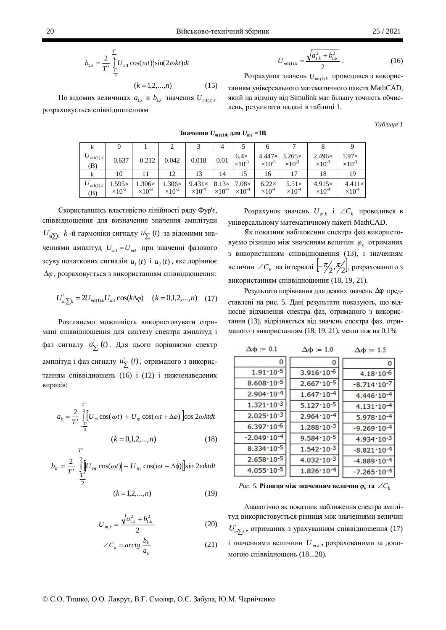$$
b_{1,k} = \frac{2}{T'} \int_{-\frac{T'}{2}}^{\frac{T'}{2}} |U_{m1} \cos(\omega t)| \sin(2\omega kt) dt
$$

$$
(k = 1, 2, ..., n)
$$
 (15)

 $\Pi$ о відомих величинах  $a_{1,k}$  и  $b_{1,k}$  значення  $U_{m1(1),k}$ розраховується співвідношенням

$$
U_{m1(1),k} = \frac{\sqrt{a_{1,k}^2 + b_{1,k}^2}}{2} \,. \tag{16}
$$

Розрахунок значень  $U_{m1(1),k}$  проводився з викорис-

танням універсального математичного пакета MathCAD, який на відміну від Simulink має більшу точність обчислень, результати надані в таблиці 1.

*Ɍɚɛɥɢɰɹ 1*

|                |                                   |                                   |                                   |                                   | 4                                |                                  | O                                               |                                  |                                   |                                    |
|----------------|-----------------------------------|-----------------------------------|-----------------------------------|-----------------------------------|----------------------------------|----------------------------------|-------------------------------------------------|----------------------------------|-----------------------------------|------------------------------------|
| m1(1).k<br>(B) | 0,637                             | 0.212                             | 0.042                             | 0.018                             | 0.01                             | $6.4\times$<br>$\times 10^{-3}$  | $4.447 \times 3.265 \times$<br>$\times 10^{-3}$ | $\times 10^{-3}$                 | $2.496\times$<br>$\times 10^{-3}$ | $1.97\times$<br>$\times 10^{-3}$   |
|                | 10                                |                                   | 12                                | 13                                | 14                               | 15                               | 16                                              |                                  | 18                                | 19                                 |
| m1(1).k<br>(B) | $1.595\times$<br>$\times 10^{-3}$ | $1.306\times$<br>$\times 10^{-3}$ | $1.306\times$<br>$\times 10^{-3}$ | $9.431\times$<br>$\times 10^{-4}$ | $8.13\times$<br>$\times 10^{-4}$ | $7.08\times$<br>$\times 10^{-4}$ | $6.22\times$<br>$\times 10^4$                   | $5.51\times$<br>$\times 10^{-4}$ | $4.915\times$<br>$\times 10^{-4}$ | $4.411\times$<br>$\times 10^{ -4}$ |

**Значення**  $U_{mI(1)k}$  для  $U_{mI} = 1B$ 

Скориставшись властивістю лінійності ряду Фур'є, співвідношення для визначення значення амплітуди  $U'_{m\sum k}$  *k* -й гармоніки сигналу  $u'_{\sum}$  (*t*) за відомими значеннями амплітуд  $U_{m1} = U_{m2}$  при значенні фазового зсуву початкових сигналів  $u_1(t)$  *i*  $u_2(t)$ , яке дорівнює  $\Delta\varphi$ , розраховується з використанням співвідношення:

$$
U'_{m\sum k} = 2U_{m1(1),k}U_{m1}\cos(k\Delta\varphi) \quad (k = 0,1,2,...,n) \quad (17)
$$

Розглянемо можливість використовувати отримані співвідношення для синтезу спектра амплітуд і фаз сигналу *u*<sup>/</sup><sub>2</sub> (*t*). Для цього порівняємо спектр амплітуд і фаз сигналу  $u'_{\sum}$  (*t*), отриманого з використанням співвідношень (16) і (12) і нижченаведених виразів:

$$
a_k = \frac{2}{T'} \prod_{\frac{T'}{2}}^{\frac{T'}{2}} \left[ U_m \cos(\omega t) \right] + \left[ U_m \cos(\omega t + \Delta \varphi) \right] \cos 2\omega kt dt
$$
  

$$
(k = 0, 1, 2, ..., n) \qquad (18)
$$

$$
b_k = \frac{2}{T'} \underbrace{\int_{T'}^{T'} \left[ U_m \cos(\omega t) \right] + \left[ U_m \cos(\omega t + \Delta \phi) \right] \sin 2\omega kt dt}_{- \frac{T'}{2}}
$$

$$
(k = 1, 2, \dots, n) \tag{19}
$$

$$
U_{m,k} = \frac{\sqrt{a_{1,k}^2 + b_{1,k}^2}}{2}
$$
 (20)

$$
\angle C_k = \arctg \frac{b_k}{a_k} \tag{21}
$$

Pозрахунок значень  $U_{m,k}$  i  $\angle C_k$  проводився в універсальному математичному пакеті MathCAD.

Як показник наближення спектра фаз використовуємо різницю між значенням величин $\varphi_{\kappa}$ отриманих з використанням співвідношення (13), і значенням величин  $\angle C_k$  на інтервалі  $\left\lfloor \frac{\pi}{2}, \frac{\pi}{2} \right\rfloor$ , розрахованого з використанням співвідношення (18, 19, 21).

Результати порівняння для деяких значень  $\Delta \varphi$  представлені на рис. 5. Дані результати показують, що відносне відхилення спектра фаз, отриманого з використання (13), відрізняється від значень спектра фаз, отриманого з використанням (18, 19, 21), менш ніж на 0,1%

| $\Delta \Phi = 0.1$    | $\Delta \Phi = 1.0$   | $\Delta \phi = 1.5$    |
|------------------------|-----------------------|------------------------|
| 0                      | 0                     | 0                      |
| $1.91 \cdot 10^{-5}$   | $3.916 \cdot 10^{-6}$ | $4.18 \cdot 10^{-6}$   |
| $8.608 \cdot 10^{-5}$  | $2.667 \cdot 10^{-5}$ | $-8.714 \cdot 10^{-7}$ |
| $2.904 \cdot 10^{-4}$  | $1.647 \cdot 10^{-4}$ | $4.446 \cdot 10^{-4}$  |
| $1.321 \cdot 10^{-3}$  | $5.127 \cdot 10^{-5}$ | $4.131 \cdot 10^{-4}$  |
| $2.025 \cdot 10^{-3}$  | $2.964 \cdot 10^{-4}$ | $5.978 \cdot 10^{-4}$  |
| $6.397 \cdot 10^{-6}$  | $1.288 \cdot 10^{-3}$ | $-9.269 \cdot 10^{-4}$ |
| $-2.049 \cdot 10^{-4}$ | $9.584 \cdot 10^{-5}$ | $4.934 \cdot 10^{-3}$  |
| $8.334 \cdot 10^{-5}$  | $1.542 \cdot 10^{-3}$ | $-8.821 \cdot 10^{-4}$ |
| $2.658 \cdot 10^{-5}$  | $4.032 \cdot 10^{-3}$ | $-4.889 \cdot 10^{-4}$ |
| $4.055 \cdot 10^{-5}$  | $1.826 \cdot 10^{-4}$ | $-7.265 \cdot 10^{-4}$ |

*Puc.* 5. **Різниця між значенням величин**  $\varphi_{k}$ **та**  $\angle C_{k}$ 

Аналогічно як показник наближення спектра амплітуд використовується різниця між значеннями величин  $U'_{m \sum k}$ , отриманих з урахуванням співвідношення (17) i значеннями величини  $U_{m,k}$ , розрахованими за допомогою співвідношень (18...20).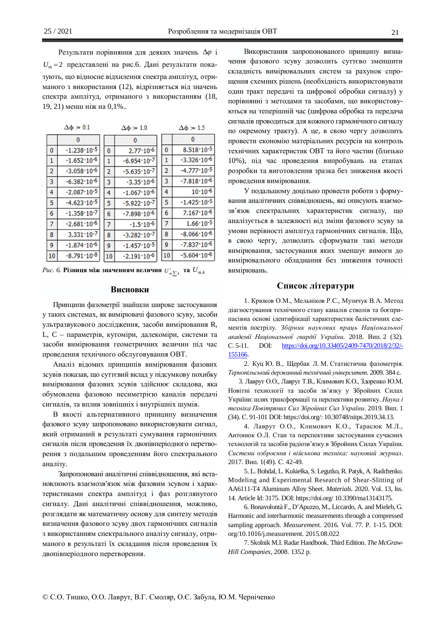Результати порівняння для деяких значень  $\Delta\varphi$  і  $U_m = 2$  представлені на рис.6. Дані результати показують, що відносне відхилення спектра амплітуд, отриманого з використання (12), відрізняється від значень спектра амплітул, отриманого з використанням (18, 19, 21) менш ніж на 0,1%..

|                | $\Delta \phi = 0.1$    |                | $\Delta \phi = 1.0$    | $\Delta \phi = 1.5$ |                        |  |
|----------------|------------------------|----------------|------------------------|---------------------|------------------------|--|
|                | 0                      |                | $\mathbf{0}$           |                     | n                      |  |
| $\bf{0}$       | $-1.238 \cdot 10^{-5}$ | $\bf{0}$       | $2.77 \cdot 10^{-6}$   | 0                   | $8.518 \cdot 10^{-5}$  |  |
| 1              | $-1.652 \cdot 10^{-6}$ | 1              | $-6.954 \cdot 10^{-7}$ | 1                   | $-3.326 \cdot 10^{-6}$ |  |
| $\overline{2}$ | $-3.058 \cdot 10^{-6}$ | $\overline{2}$ | $-5.635 \cdot 10^{-7}$ | 2                   | $-4.777 \cdot 10^{-5}$ |  |
| 3              | $-6.382 \cdot 10^{-6}$ | 3              | $-3.35 \cdot 10^{-6}$  | 3                   | $-7.818 \cdot 10^{-6}$ |  |
| 4              | $-2.087 \cdot 10^{-5}$ | 4              | $-1.067 \cdot 10^{-6}$ | 4                   | $10.10 - 6$            |  |
| 5              | $-4.623 \cdot 10^{-5}$ | 5              | $-5.922 \cdot 10^{-7}$ | 5                   | $-1.425 \cdot 10^{-5}$ |  |
| 6              | $-1.358 \cdot 10^{-7}$ | 6              | $-7.898 \cdot 10^{-6}$ | 6                   | $7.167 \cdot 10^{-6}$  |  |
| $\overline{7}$ | $-2.681 \cdot 10^{-6}$ | $\overline{7}$ | $-1.5 \cdot 10^{-6}$   | $\overline{7}$      | $1.66 \cdot 10^{-5}$   |  |
| 8              | $3.331 \cdot 10^{-7}$  | 8              | $-3.282 \cdot 10^{-7}$ | 8                   | $-8.066 \cdot 10^{-6}$ |  |
| 9              | $-1.874 \cdot 10^{-6}$ | 9              | $-1.457 \cdot 10^{-5}$ | 9                   | $-7.837 \cdot 10^{-6}$ |  |
| 10             | $-8.791 \cdot 10^{-8}$ | 10             | $-2.191 \cdot 10^{-6}$ | 10                  | $-5.604 \cdot 10^{-6}$ |  |

 $\mathit{Puc.~6.~P$ ізниця між значенням величин  $\mathit{U^{\prime}_{m}}_{\sum k}$  та  $\mathit{U_{m,k}}$ 

### **Висновки**

Принципи фазометрії знайшли широке застосування у таких системах, як вимірювачі фазового зсуву, засоби ультразвукового дослідження, засоби вимірювання R, L, C – параметрів, кутоміри, далекоміри, системи та засоби вимірювання геометричних величин під час проведення технічного обслуговування ОВТ.

Аналіз відомих принципів вимірювання фазових зсувів показав, що суттєвий вклад у підсумкову похибку вимірювання фазових зсувів здійснює складова, яка обумовлена фазовою несиметрією каналів передачі сигналів, та вплив зовнішніх і внутрішніх шумів.

В якості альтернативного принципу визначення фазового зсуву запропоновано використовувати сигнал, який отриманий в результаті сумування гармонічних сигналів після проведення їх двопівперіодного перетворення з подальшим проведенням його спектрального аналізу.

Запропоновані аналітичні співвідношення, які встановлюють взаємозв'язок між фазовим зсувом і характеристиками спектра амплітуд і фаз розглянутого сигналу. Дані аналітичні співвідношення, можливо, розглядати як математичну основу для синтезу методів визначення фазового зсуву двох гармонічних сигналів з використанням спектрального аналізу сигналу, отриманого в результаті їх складання після проведення їх двопівперіодного перетворення.

Використання запропонованого принципу визначення фазового зсуву дозволить суттєво зменшити складність вимірювальних систем за рахунок спрощення схемних рішень (необхідність використовувати один тракт передачі та цифрової обробки сигналу) у порівнянні з методами та засобами, що використовуються на теперішній час (цифрова обробка та передача сигналів проводиться для кожного гармонічного сигналу по окремому тракту). А це, в свою чергу дозволить провести економію матеріальних ресурсів на контроль технічних характеристик ОВТ та його частин (близько 10%), під час проведення випробувань на етапах розробки та виготовлення зразка без зниження якості проведення вимірювання.

У подальшому доцільно провести роботи з формування аналітичних співвідношень, які описують взаємозв'язок спектральних характеристик сигналу, що аналізується в залежності від зміни фазового зсуву за умови нерівності амплітуд гармонічних сигналів. Що, в свою чергу, дозволить сформувати такі методи вимірювання, застосування яких зменшує вимоги до вимірювального обладнання без зниження точності вимірювань.

# Список літератури

1. Крюков О.М., Мельніков Р.С., Музичук В.А. Метод діагностування технічного стану каналів стволів та боєприпасівна основі ідентифікації характеристик балістичних елементів пострілу. Збірник наукових праць Національної *ɚɤɚɞɟɦɿʀ ɇɚɰɿɨɧɚɥɶɧɨʀ ɝɜɚɪɞɿʀ ɍɤɪɚʀɧɢ*. 2018. ȼɢɩ. 2 (32). ɋ. 5-11. DOI: https://doi.org/10.33405/2409-7470/2018/2/32/- 155166.

2. Куц Ю. В., Щербак Л. М. Статистична фазометрія. Тернопільський державний технічний університет. 2009. 384 с.

3. Лавруг О.О., Лавруг Т.В., Климович К.О., Здоренко Ю.М. Новітні технології та засоби зв'язку у Збройних Силах України: шлях трансформації та перспективи розвитку. Наука і техніка Повітряних Сил Збройних Сил України. 2019. Вип. 1 (34). ɋ. 91-101 DOI: https://doi.org/: 10.30748/nitps.2019.34.13.

4. Лаврут О.О., Климович К.О., Тарасюк М.Л., Антонюк О.Л. Стан та перспективи застосування сучасних технологій та засобів радіозв'язку в Збройних Силах України. Системи озброєння і військова техніка: науковий журнал. 2017. Вип. 1(49). С. 42-49.

5. L. Bohdal, L. Kukiełka, S. Legutko, R. Patyk, A. Radchenko. Modeling and Experimental Research of Shear-Slitting of AA6111-T4 Aluminum Alloy Sheet. *Materials.* 2020. Vol. 13, Iss. 14. Article Id: 3175. DOI: https://doi.org/ 10.3390/ma13143175.

6. Bonavolontà F., D'Apuzzo, M., Liccardo, A. and Mieleb, G. Harmonic and interharmonic measurements through a compressed sampling approach. *Measuremen*t. 2016. Vol. 77. P. 1-15. DOI: org/10.1016/j.measurement. 2015.08.022

7. Skolnik M.I. Radar Handbook. Third Edition. *The McGraw-Hill Companies*, 2008. 1352 p.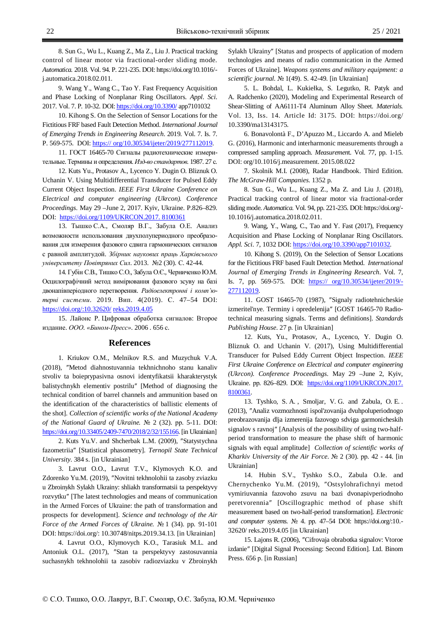8. Sun G., Wu L., Kuang Z., Ma Z., Liu J. Practical tracking control of linear motor via fractional-order sliding mode. *Automatica.* 2018. Vol. 94. P. 221-235. DOI: https://doi.org/10.1016/ j.automatica.2018.02.011.

9. Wang Y., Wang C., Tao Y. Fast Frequency Acquisition and Phase Locking of Nonplanar Ring Oscillators. *Appl. Sci*. 2017. Vol. 7. P. 10-32. DOI: https://doi.org/10.3390/ app7101032

10. Kihong S. On the Selection of Sensor Locations for the Fictitious FRF based Fault Detection Method. *International Journal of Emerging Trends in Engineering Research*. 2019. Vol. 7. Is. 7. P. 569-575. DOI: https:// org/10.30534/ijeter/2019/277112019.

11. ГОСТ 16465-70 Сигналы радиотехнические измерительные. Термины и определения. Изд-во стандартов. 1987. 27 с.

12. Kuts Yu., Protasov A., Lycenco Y. Dugin O. Bliznuk O. Uchanin V. Using Multidifferential Transducer for Pulsed Eddy Current Object Inspection. *IEEE First Ukraine Conference on Electrical and computer engineering (Ukrcon). Conference Proceedings.* May 29 –June 2, 2017. Kyiv, Ukraine. P.826–829. DOI: https://doi.org/1109/UKRCON.2017. 8100361

13. Тышко С.А., Смоляр В.Г., Забула О.Е. Анализ возможности использования двухполупериодного преобразования для измерения фазового сдвига гармонических сигналов с равной амплитудой. Збірник наукових праць Харківського університету Повітряних Сил. 2013. №2 (30). С. 42-44.

14. Губін С.В., Тишко С.О., Забула О.Є., Черниченко Ю.М. Осцилографічний метод вимірювання фазового зсуву на базі двонапівперіодного перетворення. Радіоелектронні і комп'ютерні системи. 2019. Вип. 4(2019). С. 47–54 DOI: https://doi.org/:10.32620/ reks.2019.4.05

15. Лайонс Р. Цифровая обработка сигналов: Второе издание. *ООО. «Бином-Пресс»*. 2006 . 656 с.

#### **References**

1*.* Kriukov O.M., Melnikov R.S. and Muzychuk V.A. (2018), "Metod diahnostuvannia tekhnichnoho stanu kanaliv stvoliv ta boieprypasivna osnovi identyfikatsii kharakterystyk balistychnykh elementiv postrilu" [Method of diagnosing the technical condition of barrel channels and ammunition based on the identification of the characteristics of ballistic elements of the shot]. *Collection of scientific works of the National Academy of the National Guard of Ukraine.*  $\mathbb{N}^{\circ}$  2 (32). pp. 5-11. DOI: https://doi.org/10.33405/2409-7470/2018/2/32/155166. [in Ukrainian]

2. Kuts Yu.V. and Shcherbak L.M. (2009), "Statystychna fazometriiaƎ [Statistical phasometry]. *Ternopil State Technical University.* 384 s. [in Ukrainian]

3. Lavrut O.O., Lavrut T.V., Klymovych K.O. and Zdorenko Yu.M. (2019), "Novitni tekhnolohii ta zasoby zviazku u Zbroinykh Sylakh Ukrainy: shliakh transformatsii ta perspektyvy rozvytkuƎ [The latest technologies and means of communication in the Armed Forces of Ukraine: the path of transformation and prospects for development]. *Science and technology of the Air Force of the Armed Forces of Ukraine.* No 1 (34). pp. 91-101 DOI: https://doi.org/: 10.30748/nitps.2019.34.13. [in Ukrainian]

4. Lavrut O.O., Klymovych K.O., Tarasiuk M.L. and Antoniuk O.L. (2017), "Stan ta perspektyvy zastosuvannia suchasnykh tekhnolohii ta zasobiv radiozviazku v Zbroinykh Sylakh Ukrainy" [Status and prospects of application of modern technologies and means of radio communication in the Armed Forces of Ukraine]. *Weapons systems and military equipment: a scientific journal.*ʋ 1(49). S. 42-49. [in Ukrainian]

5. L. Bohdal, L. Kukiełka, S. Legutko, R. Patyk and A. Radchenko (2020), Modeling and Experimental Research of Shear-Slitting of AA6111-T4 Aluminum Alloy Sheet. *Materials.* Vol. 13, Iss. 14. Article Id: 3175. DOI: https://doi.org/ 10.3390/ma13143175.

6. Bonavolontà F., D'Apuzzo M., Liccardo A. and Mieleb G. (2016), Harmonic and interharmonic measurements through a compressed sampling approach. *Measuremen*t. Vol. 77, pp. 1-15. DOI: org/10.1016/j.measurement. 2015.08.022

7. Skolnik M.I. (2008), Radar Handbook. Third Edition. *The McGraw-Hill Companies*. 1352 p.

8. Sun G., Wu L., Kuang Z., Ma Z. and Liu J. (2018), Practical tracking control of linear motor via fractional-order sliding mode. *Automatica.* Vol. 94, pp. 221-235. DOI: https://doi.org/- 10.1016/j.automatica.2018.02.011.

9. Wang, Y., Wang, C., Tao and Y. Fast (2017), Frequency Acquisition and Phase Locking of Nonplanar Ring Oscillators. *Appl. Sci*. 7, 1032 DOI: https://doi.org/10.3390/app7101032*.* 

10. Kihong S. (2019), On the Selection of Sensor Locations for the Fictitious FRF based Fault Detection Method. *International Journal of Emerging Trends in Engineering Research*. Vol. 7, Is. 7, pp. 569-575. DOI: https:// org/10.30534/ijeter/2019/- 277112019.

11. GOST 16465-70 (1987), "Signaly radiotehnicheskie izmeritel'nye. Terminy i opredelenija" [GOST 16465-70 Radiotechnical measuring signals. Terms and definitions]. *Standards Publishing House*. 27 p. [in Ukrainian]

12. Kuts, Yu., Protasov, A., Lycenco, Y. Dugin O. Bliznuk O. and Uchanin V. (2017), Using Multidifferential Transducer for Pulsed Eddy Current Object Inspection. *IEEE First Ukraine Conference on Electrical and computer engineering (Ukrcon). Conference Proceedings.* May 29 –June 2, Kyiv, Ukraine. pp. 826-829. DOI: https://doi.org/1109/UKRCON.2017. 8100361*.* 

13. Tyshko, S. A. , Smoljar, V. G. and Zabula, O. E. . (2013), ƎAnaliz vozmozhnosti ispol'zovanija dvuhpoluperiodnogo preobrazovanija dlja izmerenija fazovogo sdviga garmonicheskih signalov s ravnoj" [Analysis of the possibility of using two-halfperiod transformation to measure the phase shift of harmonic signals with equal amplitude] *Collection of scientific works of Kharkiv University of the Air Force.*  $\mathbb{N}^{\circ}$  2 (30). pp. 42 - 44. [in Ukrainian]

14. Hubin S.V., Tyshko S.O., Zabula O.Ie. and Chernychenko Yu.M. (2019), "Ostsylohrafichnyi metod vymiriuvannia fazovoho zsuvu na bazi dvonapivperiodnoho peretvorenniaƎ [Oscillographic method of phase shift measurement based on two-half-period transformation]. *Electronic*  and computer systems.  $\mathbb{N}^{\mathsf{a}}$  4. pp. 47–54 DOI: https://doi.org/:10.-32620/ reks.2019.4.05 [in Ukrainian]

15. Lajons R. (2006), "Cifrovaja obrabotka signalov: Vtoroe izdanieƎ [Digital Signal Processing: Second Edition]. Ltd. Binom Press. 656 p. [in Russian]